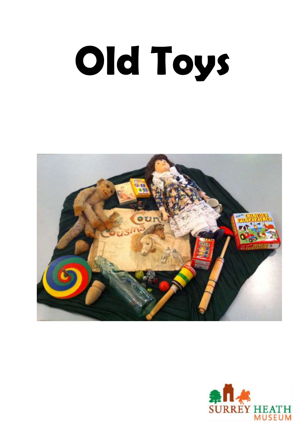# **Old Toys**



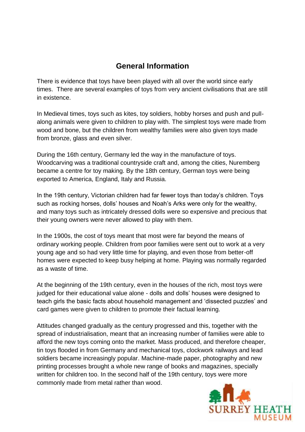#### **General Information**

There is evidence that toys have been played with all over the world since early times. There are several examples of toys from very ancient civilisations that are still in existence.

In Medieval times, toys such as kites, toy soldiers, hobby horses and push and pullalong animals were given to children to play with. The simplest toys were made from wood and bone, but the children from wealthy families were also given toys made from bronze, glass and even silver.

During the 16th century, Germany led the way in the manufacture of toys. Woodcarving was a traditional countryside craft and, among the cities, Nuremberg became a centre for toy making. By the 18th century, German toys were being exported to America, England, Italy and Russia.

In the 19th century, Victorian children had far fewer toys than today's children. Toys such as rocking horses, dolls' houses and Noah's Arks were only for the wealthy, and many toys such as intricately dressed dolls were so expensive and precious that their young owners were never allowed to play with them.

In the 1900s, the cost of toys meant that most were far beyond the means of ordinary working people. Children from poor families were sent out to work at a very young age and so had very little time for playing, and even those from better-off homes were expected to keep busy helping at home. Playing was normally regarded as a waste of time.

At the beginning of the 19th century, even in the houses of the rich, most toys were judged for their educational value alone - dolls and dolls' houses were designed to teach girls the basic facts about household management and 'dissected puzzles' and card games were given to children to promote their factual learning.

Attitudes changed gradually as the century progressed and this, together with the spread of industrialisation, meant that an increasing number of families were able to afford the new toys coming onto the market. Mass produced, and therefore cheaper, tin toys flooded in from Germany and mechanical toys, clockwork railways and lead soldiers became increasingly popular. Machine-made paper, photography and new printing processes brought a whole new range of books and magazines, specially written for children too. In the second half of the 19th century, toys were more commonly made from metal rather than wood.

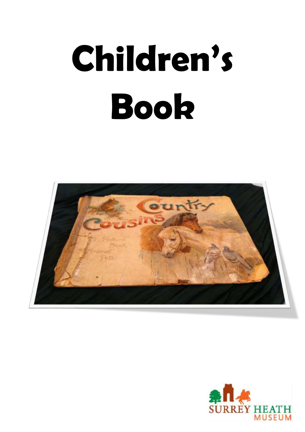# **Children's Book**



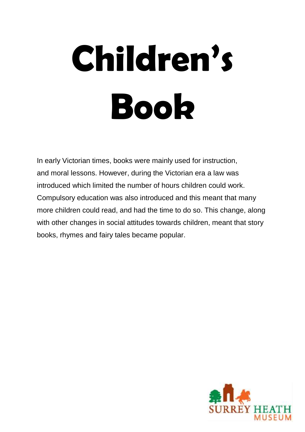# **Children's Book**

In early Victorian times, books were mainly used for instruction, and moral lessons. However, during the Victorian era a law was introduced which limited the number of hours children could work. Compulsory education was also introduced and this meant that many more children could read, and had the time to do so. This change, along with other changes in social attitudes towards children, meant that story books, rhymes and fairy tales became popular.

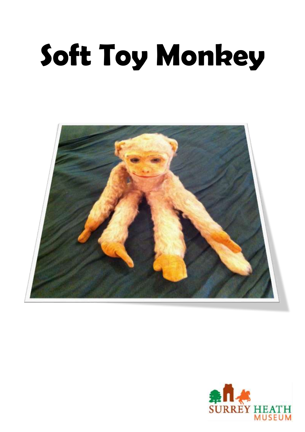#### **Soft Toy Monkey**



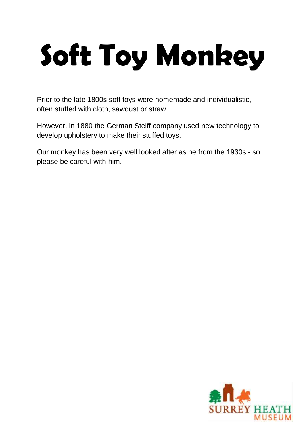#### **Soft Toy Monkey**

Prior to the late 1800s soft toys were homemade and individualistic, often stuffed with cloth, sawdust or straw.

However, in 1880 the German Steiff company used new technology to develop upholstery to make their stuffed toys.

Our monkey has been very well looked after as he from the 1930s - so please be careful with him.

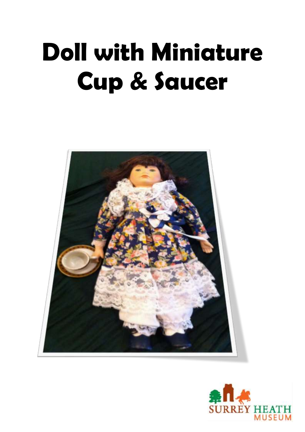#### **Doll with Miniature Cup & Saucer**



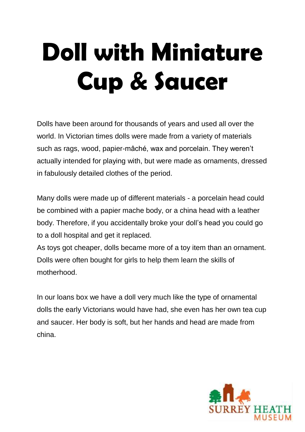#### **Doll with Miniature Cup & Saucer**

Dolls have been around for thousands of years and used all over the world. In Victorian times dolls were made from a variety of materials such as rags, wood, papier-mâché, wax and porcelain. They weren't actually intended for playing with, but were made as ornaments, dressed in fabulously detailed clothes of the period.

Many dolls were made up of different materials - a porcelain head could be combined with a papier mache body, or a china head with a leather body. Therefore, if you accidentally broke your doll's head you could go to a doll hospital and get it replaced.

As toys got cheaper, dolls became more of a toy item than an ornament. Dolls were often bought for girls to help them learn the skills of motherhood.

In our loans box we have a doll very much like the type of ornamental dolls the early Victorians would have had, she even has her own tea cup and saucer. Her body is soft, but her hands and head are made from china.

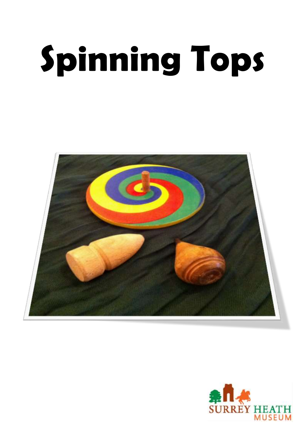# **Spinning Tops**



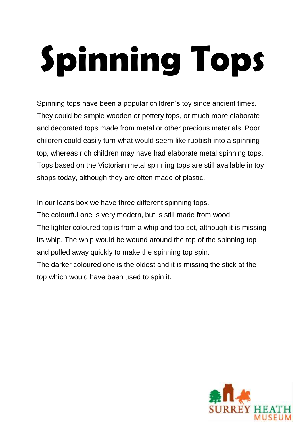# **Spinning Tops**

Spinning tops have been a popular children's toy since ancient times. They could be simple wooden or pottery tops, or much more elaborate and decorated tops made from metal or other precious materials. Poor children could easily turn what would seem like rubbish into a spinning top, whereas rich children may have had elaborate metal spinning tops. Tops based on the Victorian metal spinning tops are still available in toy shops today, although they are often made of plastic.

In our loans box we have three different spinning tops. The colourful one is very modern, but is still made from wood. The lighter coloured top is from a whip and top set, although it is missing its whip. The whip would be wound around the top of the spinning top and pulled away quickly to make the spinning top spin. The darker coloured one is the oldest and it is missing the stick at the top which would have been used to spin it.

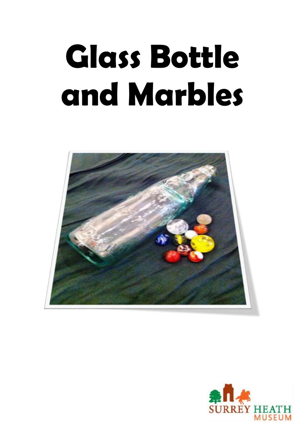#### **Glass Bottle and Marbles**



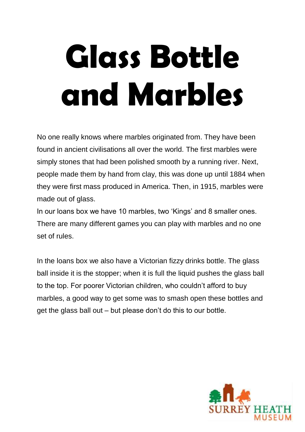#### **Glass Bottle and Marbles**

No one really knows where marbles originated from. They have been found in ancient civilisations all over the world. The first marbles were simply stones that had been polished smooth by a running river. Next, people made them by hand from clay, this was done up until 1884 when they were first mass produced in America. Then, in 1915, marbles were made out of glass.

In our loans box we have 10 marbles, two 'Kings' and 8 smaller ones. There are many different games you can play with marbles and no one set of rules.

In the loans box we also have a Victorian fizzy drinks bottle. The glass ball inside it is the stopper; when it is full the liquid pushes the glass ball to the top. For poorer Victorian children, who couldn't afford to buy marbles, a good way to get some was to smash open these bottles and get the glass ball out – but please don't do this to our bottle.

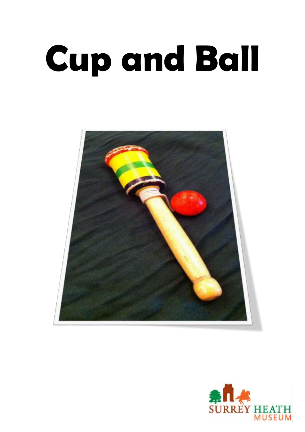## **Cup and Ball**



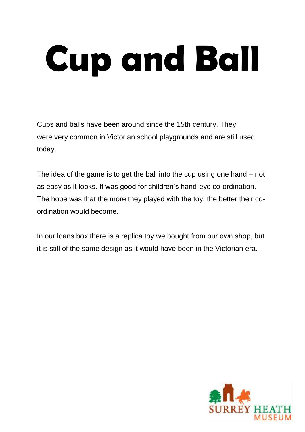# **Cup and Ball**

Cups and balls have been around since the 15th century. They were very common in Victorian school playgrounds and are still used today.

The idea of the game is to get the ball into the cup using one hand – not as easy as it looks. It was good for children's hand-eye co-ordination. The hope was that the more they played with the toy, the better their coordination would become.

In our loans box there is a replica toy we bought from our own shop, but it is still of the same design as it would have been in the Victorian era.

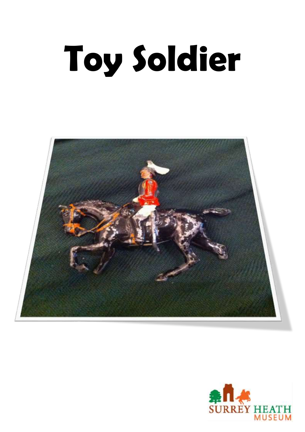# **Toy Soldier**



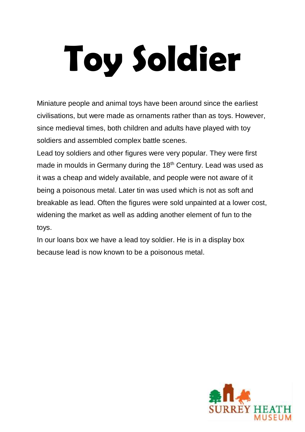# **Toy Soldier**

Miniature people and animal toys have been around since the earliest civilisations, but were made as ornaments rather than as toys. However, since medieval times, both children and adults have played with toy soldiers and assembled complex battle scenes.

Lead toy soldiers and other figures were very popular. They were first made in moulds in Germany during the 18<sup>th</sup> Century. Lead was used as it was a cheap and widely available, and people were not aware of it being a poisonous metal. Later tin was used which is not as soft and breakable as lead. Often the figures were sold unpainted at a lower cost, widening the market as well as adding another element of fun to the toys.

In our loans box we have a lead toy soldier. He is in a display box because lead is now known to be a poisonous metal.

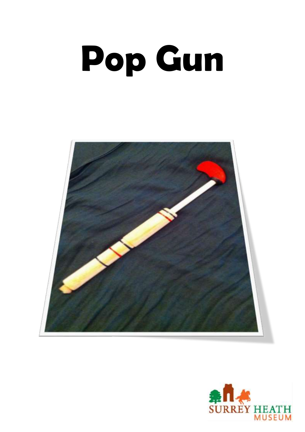### **Pop Gun**



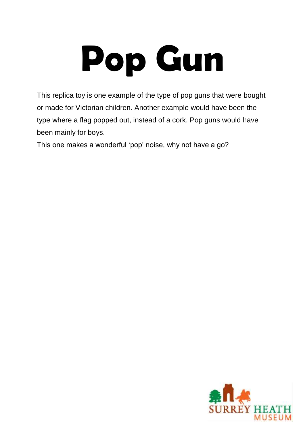#### **Pop Gun**

This replica toy is one example of the type of pop guns that were bought or made for Victorian children. Another example would have been the type where a flag popped out, instead of a cork. Pop guns would have been mainly for boys.

This one makes a wonderful 'pop' noise, why not have a go?

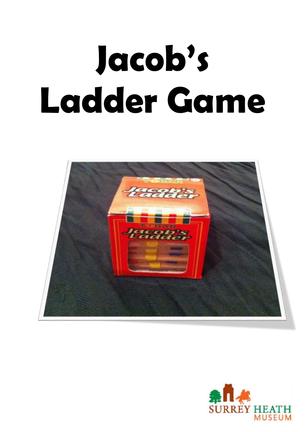### **Jacob's Ladder Game**



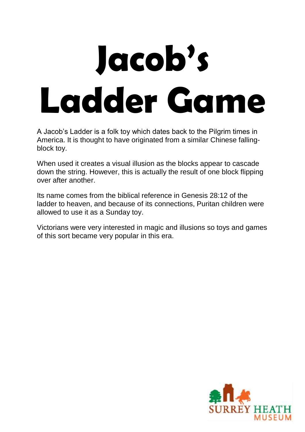### **Jacob's Ladder Game**

A Jacob's Ladder is a folk toy which dates back to the Pilgrim times in America. It is thought to have originated from a similar Chinese fallingblock toy.

When used it creates a visual illusion as the blocks appear to cascade down the string. However, this is actually the result of one block flipping over after another.

Its name comes from the biblical reference in Genesis 28:12 of the ladder to heaven, and because of its connections, Puritan children were allowed to use it as a Sunday toy.

Victorians were very interested in magic and illusions so toys and games of this sort became very popular in this era.

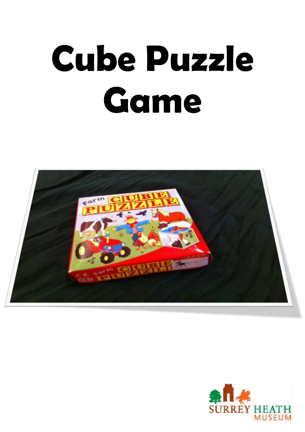#### **Cube Puzzle Game**



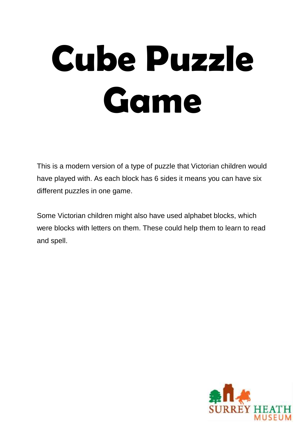### **Cube Puzzle Game**

This is a modern version of a type of puzzle that Victorian children would have played with. As each block has 6 sides it means you can have six different puzzles in one game.

Some Victorian children might also have used alphabet blocks, which were blocks with letters on them. These could help them to learn to read and spell.

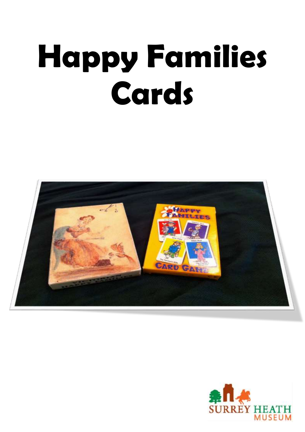#### **Happy Families Cards**



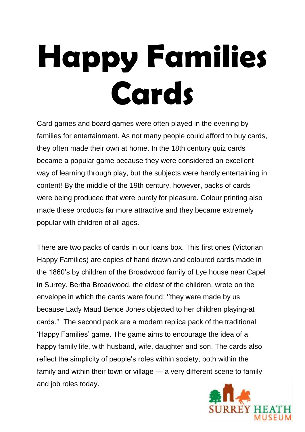#### **Happy Families Cards**

Card games and board games were often played in the evening by families for entertainment. As not many people could afford to buy cards, they often made their own at home. In the 18th century quiz cards became a popular game because they were considered an excellent way of learning through play, but the subjects were hardly entertaining in content! By the middle of the 19th century, however, packs of cards were being produced that were purely for pleasure. Colour printing also made these products far more attractive and they became extremely popular with children of all ages.

There are two packs of cards in our loans box. This first ones (Victorian Happy Families) are copies of hand drawn and coloured cards made in the 1860's by children of the Broadwood family of Lye house near Capel in Surrey. Bertha Broadwood, the eldest of the children, wrote on the envelope in which the cards were found: ''they were made by us because Lady Maud Bence Jones objected to her children playing-at cards.'' The second pack are a modern replica pack of the traditional 'Happy Families' game. The game aims to encourage the idea of a happy family life, with husband, wife, daughter and son. The cards also reflect the simplicity of people's roles within society, both within the family and within their town or village — a very different scene to family and job roles today.

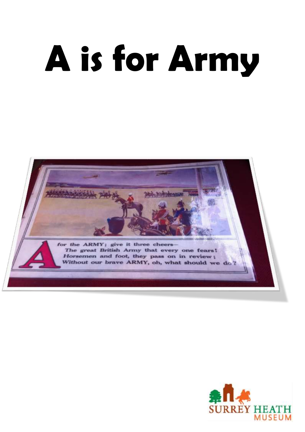# **A is for Army**



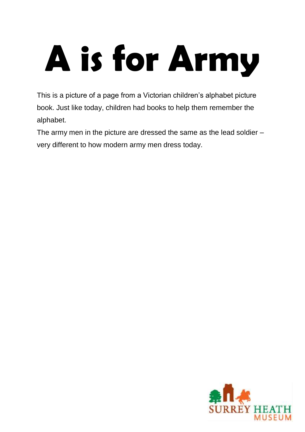# **A is for Army**

This is a picture of a page from a Victorian children's alphabet picture book. Just like today, children had books to help them remember the alphabet.

The army men in the picture are dressed the same as the lead soldier – very different to how modern army men dress today.

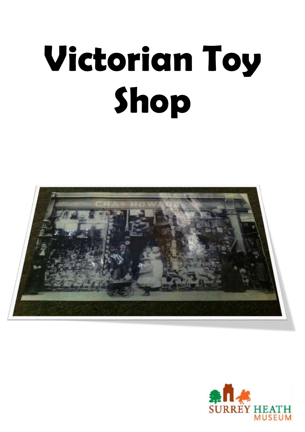# **Victorian Toy Shop**



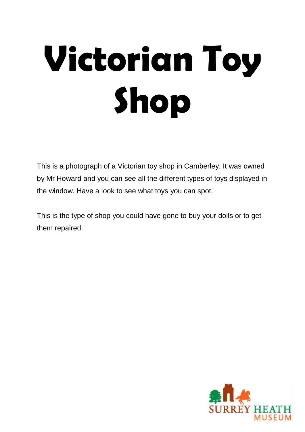# **Victorian Toy Shop**

This is a photograph of a Victorian toy shop in Camberley. It was owned by Mr Howard and you can see all the different types of toys displayed in the window. Have a look to see what toys you can spot.

This is the type of shop you could have gone to buy your dolls or to get them repaired.

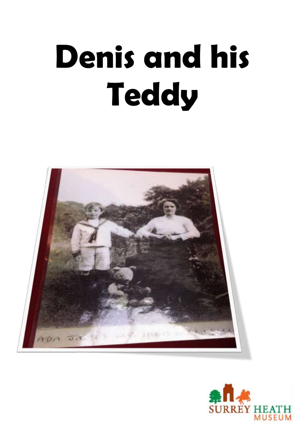#### **Denis and his Teddy**



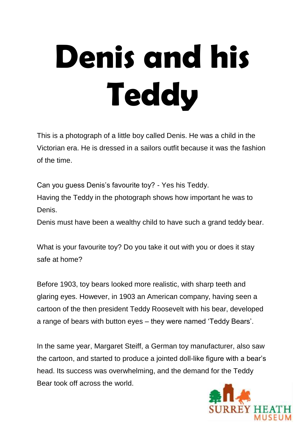#### **Denis and his Teddy**

This is a photograph of a little boy called Denis. He was a child in the Victorian era. He is dressed in a sailors outfit because it was the fashion of the time.

Can you guess Denis's favourite toy? - Yes his Teddy. Having the Teddy in the photograph shows how important he was to Denis.

Denis must have been a wealthy child to have such a grand teddy bear.

What is your favourite toy? Do you take it out with you or does it stay safe at home?

Before 1903, toy bears looked more realistic, with sharp teeth and glaring eyes. However, in 1903 an American company, having seen a cartoon of the then president Teddy Roosevelt with his bear, developed a range of bears with button eyes – they were named 'Teddy Bears'.

In the same year, Margaret Steiff, a German toy manufacturer, also saw the cartoon, and started to produce a jointed doll-like figure with a bear's head. Its success was overwhelming, and the demand for the Teddy Bear took off across the world.

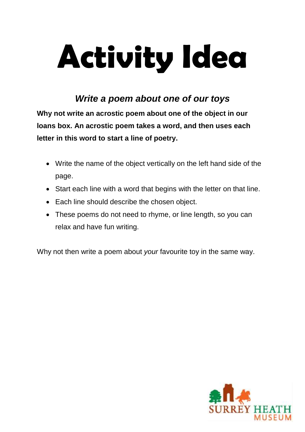#### **Activity Idea**

#### *Write a poem about one of our toys*

**Why not write an acrostic poem about one of the object in our loans box. An acrostic poem takes a word, and then uses each letter in this word to start a line of poetry.**

- Write the name of the object vertically on the left hand side of the page.
- Start each line with a word that begins with the letter on that line.
- Each line should describe the chosen object.
- These poems do not need to rhyme, or line length, so you can relax and have fun writing.

Why not then write a poem about *your* favourite toy in the same way.